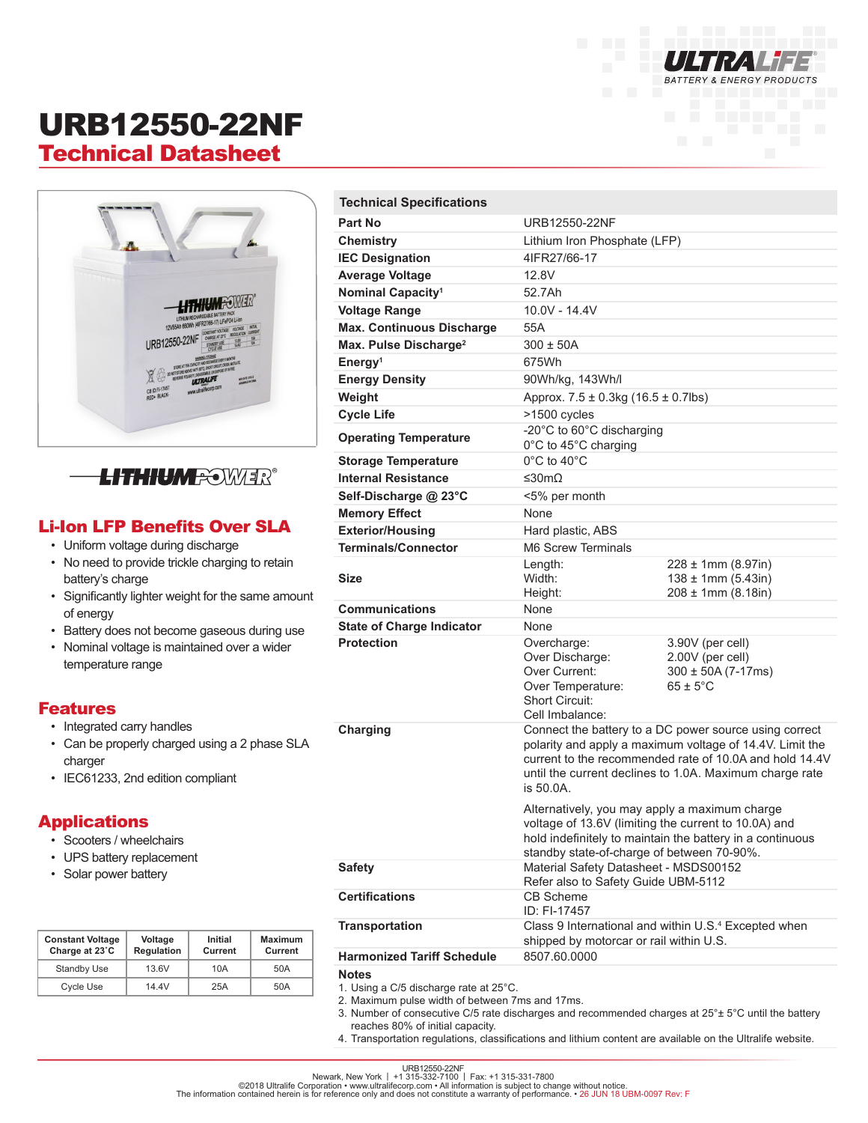

## URB12550-22NF Technical Datasheet





#### Li-Ion LFP Benefits Over SLA

- Uniform voltage during discharge
- No need to provide trickle charging to retain battery's charge
- Significantly lighter weight for the same amount of energy
- Battery does not become gaseous during use
- Nominal voltage is maintained over a wider temperature range

#### Features

- Integrated carry handles
- Can be properly charged using a 2 phase SLA charger
- IEC61233, 2nd edition compliant

#### **Applications**

- Scooters / wheelchairs
- UPS battery replacement
- Solar power battery

| <b>Constant Voltage</b><br>Charge at 23°C | Voltage<br><b>Regulation</b> | Initial<br>Current | <b>Maximum</b><br>Current |
|-------------------------------------------|------------------------------|--------------------|---------------------------|
| <b>Standby Use</b>                        | 13.6V                        | 10A                | 50A                       |
| <b>Cycle Use</b>                          | 14 4V                        | 25A                | 50A                       |

| <b>Technical Specifications</b>                                                                         |                                                                                                                                                                                                                                                       |                                                                                        |  |
|---------------------------------------------------------------------------------------------------------|-------------------------------------------------------------------------------------------------------------------------------------------------------------------------------------------------------------------------------------------------------|----------------------------------------------------------------------------------------|--|
| Part No                                                                                                 | URB12550-22NF                                                                                                                                                                                                                                         |                                                                                        |  |
| Chemistry                                                                                               | Lithium Iron Phosphate (LFP)                                                                                                                                                                                                                          |                                                                                        |  |
| <b>IEC Designation</b>                                                                                  | 4IFR27/66-17                                                                                                                                                                                                                                          |                                                                                        |  |
| <b>Average Voltage</b>                                                                                  | 12.8V                                                                                                                                                                                                                                                 |                                                                                        |  |
| Nominal Capacity <sup>1</sup>                                                                           | 52.7Ah                                                                                                                                                                                                                                                |                                                                                        |  |
| <b>Voltage Range</b>                                                                                    | $10.0V - 14.4V$                                                                                                                                                                                                                                       |                                                                                        |  |
| <b>Max. Continuous Discharge</b>                                                                        | 55A                                                                                                                                                                                                                                                   |                                                                                        |  |
| Max. Pulse Discharge <sup>2</sup>                                                                       | $300 \pm 50A$                                                                                                                                                                                                                                         |                                                                                        |  |
| Energy <sup>1</sup>                                                                                     | 675Wh                                                                                                                                                                                                                                                 |                                                                                        |  |
| <b>Energy Density</b>                                                                                   | 90Wh/kg, 143Wh/l                                                                                                                                                                                                                                      |                                                                                        |  |
| Weight                                                                                                  | Approx. $7.5 \pm 0.3$ kg (16.5 $\pm$ 0.7lbs)                                                                                                                                                                                                          |                                                                                        |  |
| <b>Cycle Life</b>                                                                                       | >1500 cycles                                                                                                                                                                                                                                          |                                                                                        |  |
| <b>Operating Temperature</b>                                                                            | -20°C to 60°C discharging<br>0°C to 45°C charging                                                                                                                                                                                                     |                                                                                        |  |
| <b>Storage Temperature</b>                                                                              | 0°C to 40°C                                                                                                                                                                                                                                           |                                                                                        |  |
| <b>Internal Resistance</b>                                                                              | ≤30mΩ                                                                                                                                                                                                                                                 |                                                                                        |  |
| Self-Discharge @ 23°C                                                                                   | <5% per month                                                                                                                                                                                                                                         |                                                                                        |  |
| <b>Memory Effect</b>                                                                                    | None                                                                                                                                                                                                                                                  |                                                                                        |  |
| <b>Exterior/Housing</b>                                                                                 | Hard plastic, ABS                                                                                                                                                                                                                                     |                                                                                        |  |
| <b>Terminals/Connector</b>                                                                              | M6 Screw Terminals                                                                                                                                                                                                                                    |                                                                                        |  |
| <b>Size</b>                                                                                             | Length:<br>Width:<br>Height:                                                                                                                                                                                                                          | $228 \pm 1$ mm (8.97in)<br>$138 \pm 1$ mm (5.43in)<br>$208 \pm 1$ mm (8.18in)          |  |
| <b>Communications</b>                                                                                   | None                                                                                                                                                                                                                                                  |                                                                                        |  |
| <b>State of Charge Indicator</b>                                                                        | None                                                                                                                                                                                                                                                  |                                                                                        |  |
| <b>Protection</b>                                                                                       | Overcharge:<br>Over Discharge:<br>Over Current:<br>Over Temperature:<br>Short Circuit:<br>Cell Imbalance:                                                                                                                                             | 3.90V (per cell)<br>2.00V (per cell)<br>$300 \pm 50A (7-17ms)$<br>$65 \pm 5^{\circ}$ C |  |
| Charging                                                                                                | Connect the battery to a DC power source using correct<br>polarity and apply a maximum voltage of 14.4V. Limit the<br>current to the recommended rate of 10.0A and hold 14.4V<br>until the current declines to 1.0A. Maximum charge rate<br>is 50.0A. |                                                                                        |  |
|                                                                                                         | Alternatively, you may apply a maximum charge<br>voltage of 13.6V (limiting the current to 10.0A) and<br>hold indefinitely to maintain the battery in a continuous<br>standby state-of-charge of between 70-90%.                                      |                                                                                        |  |
| <b>Safety</b>                                                                                           | Material Safety Datasheet - MSDS00152<br>Refer also to Safety Guide UBM-5112                                                                                                                                                                          |                                                                                        |  |
| <b>Certifications</b>                                                                                   | <b>CB Scheme</b><br>ID: FI-17457                                                                                                                                                                                                                      |                                                                                        |  |
| <b>Transportation</b>                                                                                   | Class 9 International and within U.S. <sup>4</sup> Excepted when<br>shipped by motorcar or rail within U.S.                                                                                                                                           |                                                                                        |  |
| <b>Harmonized Tariff Schedule</b>                                                                       | 8507.60.0000                                                                                                                                                                                                                                          |                                                                                        |  |
| <b>Notes</b><br>1. Using a C/5 discharge rate at 25°C.<br>2 Maximum pulse width of between 7ms and 17ms |                                                                                                                                                                                                                                                       |                                                                                        |  |

- etween 7ms and 17ms.
- 3. Number of consecutive C/5 rate discharges and recommended charges at 25°± 5°C until the battery reaches 80% of initial capacity.
- 4. Transportation regulations, classifications and lithium content are available on the Ultralife website.

URB12550-22NF<br>Newark, New York | +1 315-331-7100 | Fax: +1 315-331-7800<br>The information contained herein is for reference only and does not constitute a warranty of performance. • 26 JUN 18 UBM-0097 Rev: F⊺<br>The informatio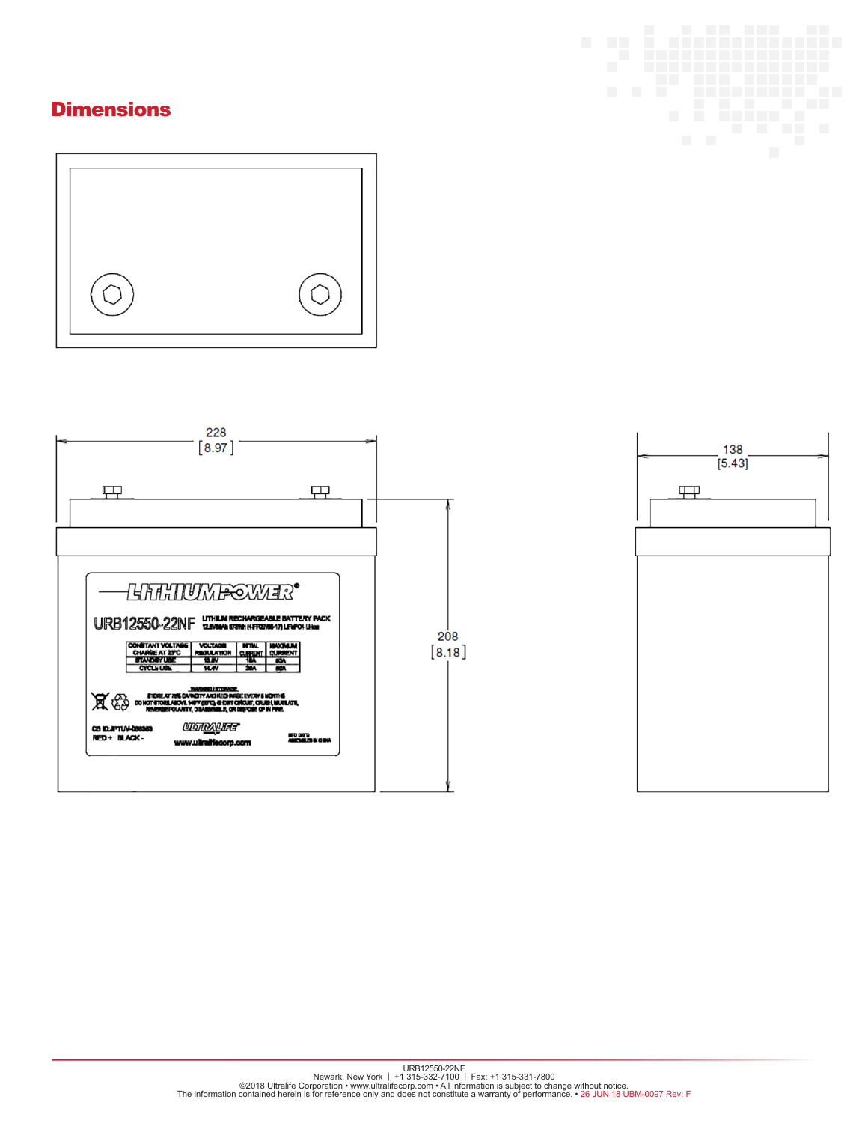### **Dimensions**